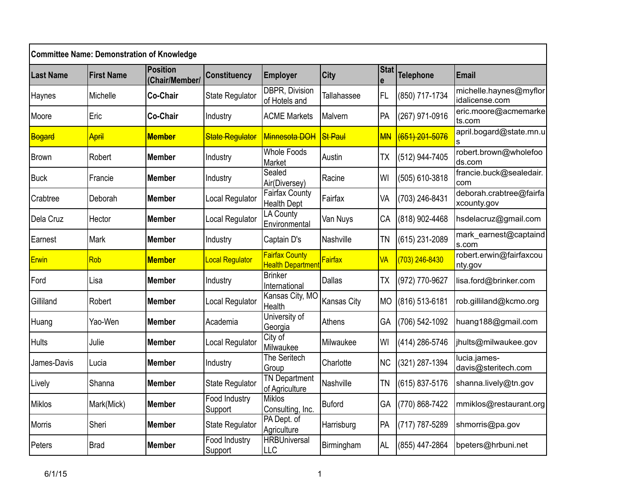| <b>Committee Name: Demonstration of Knowledge</b> |                   |                            |                                 |                                                   |                    |           |                |                                          |  |  |
|---------------------------------------------------|-------------------|----------------------------|---------------------------------|---------------------------------------------------|--------------------|-----------|----------------|------------------------------------------|--|--|
| <b>Last Name</b>                                  | <b>First Name</b> | Position<br>(Chair/Member/ | <b>Constituency</b>             | <b>Employer</b>                                   | <b>City</b>        | Stat      | Telephone      | Email                                    |  |  |
| Haynes                                            | Michelle          | Co-Chair                   | <b>State Regulator</b>          | <b>DBPR, Division</b><br>of Hotels and            | <b>Tallahassee</b> | <b>FL</b> | (850) 717-1734 | michelle.haynes@myflor<br>idalicense.com |  |  |
| Moore                                             | Eric              | <b>Co-Chair</b>            | Industry                        | <b>ACME Markets</b>                               | Malvern            | PA        | (267) 971-0916 | eric.moore@acmemarke<br>ts.com           |  |  |
| Bogard                                            | April             | <b>Member</b>              | <b>State Regulator</b>          | Minnesota DOH                                     | <b>St Paul</b>     | <b>MN</b> | (651) 201-5076 | april.bogard@state.mn.u<br>s             |  |  |
| <b>Brown</b>                                      | Robert            | Member                     | Industry                        | <b>Whole Foods</b><br>Market                      | Austin             | <b>TX</b> | (512) 944-7405 | robert.brown@wholefoo<br>ds.com          |  |  |
| <b>Buck</b>                                       | Francie           | Member                     | Industry                        | Sealed<br>Air(Diversey)                           | Racine             | WI        | (505) 610-3818 | francie.buck@sealedair.<br>com           |  |  |
| Crabtree                                          | Deborah           | <b>Member</b>              | Local Regulator                 | Fairfax County<br><b>Health Dept</b>              | Fairfax            | VA        | (703) 246-8431 | deborah.crabtree@fairfa<br>xcounty.gov   |  |  |
| Dela Cruz                                         | Hector            | Member                     | Local Regulator                 | LA County<br>Environmental                        | Van Nuys           | CA        | (818) 902-4468 | hsdelacruz@gmail.com                     |  |  |
| Earnest                                           | Mark              | Member                     | Industry                        | Captain D's                                       | Nashville          | <b>TN</b> | (615) 231-2089 | mark_earnest@captaind<br>s.com           |  |  |
| <b>Erwin</b>                                      | Rob               | <b>Member</b>              | <b>Local Regulator</b>          | <b>Fairfax County</b><br><b>Health Department</b> | Fairfax            | <b>VA</b> | (703) 246-8430 | robert.erwin@fairfaxcou<br>nty.gov       |  |  |
| Ford                                              | Lisa              | Member                     | Industry                        | <b>Brinker</b><br>International                   | <b>Dallas</b>      | <b>TX</b> | (972) 770-9627 | lisa.ford@brinker.com                    |  |  |
| Gilliland                                         | Robert            | Member                     | Local Regulator                 | Kansas City, MO<br>Health                         | Kansas City        | <b>MO</b> | (816) 513-6181 | rob.gilliland@kcmo.org                   |  |  |
| Huang                                             | Yao-Wen           | <b>Member</b>              | Academia                        | University of<br>Georgia                          | Athens             | GA        | (706) 542-1092 | huang188@gmail.com                       |  |  |
| <b>Hults</b>                                      | Julie             | Member                     | Local Regulator                 | City of<br>Milwaukee                              | Milwaukee          | WI        | (414) 286-5746 | ihults@milwaukee.gov                     |  |  |
| James-Davis                                       | Lucia             | Member                     | Industry                        | The Seritech<br>Group                             | Charlotte          | <b>NC</b> | (321) 287-1394 | lucia.james-<br>davis@steritech.com      |  |  |
| Lively                                            | Shanna            | Member                     | <b>State Regulator</b>          | <b>TN Department</b><br>of Agriculture            | Nashville          | <b>TN</b> | (615) 837-5176 | shanna.lively@tn.gov                     |  |  |
| <b>Miklos</b>                                     | Mark(Mick)        | Member                     | <b>Food Industry</b><br>Support | Miklos<br>Consulting, Inc.                        | <b>Buford</b>      | GA        | (770) 868-7422 | mmiklos@restaurant.org                   |  |  |
| <b>Morris</b>                                     | Sheri             | Member                     | <b>State Regulator</b>          | PA Dept. of<br>Agriculture                        | Harrisburg         | PA        | (717) 787-5289 | shmorris@pa.gov                          |  |  |
| Peters                                            | <b>Brad</b>       | Member                     | Food Industry<br>Support        | <b>HRBUniversal</b><br>LLC                        | Birmingham         | AL        | (855) 447-2864 | bpeters@hrbuni.net                       |  |  |